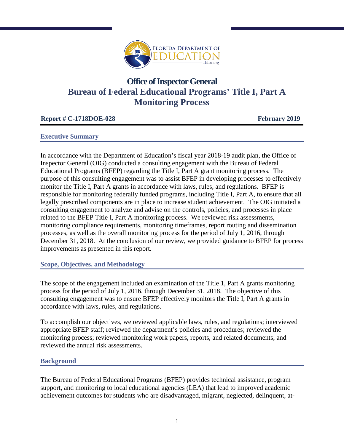

# **Office of Inspector General Bureau of Federal Educational Programs' Title I, Part A Monitoring Process**

# **Report # C-1718DOE-028** February 2019

## **Executive Summary**

In accordance with the Department of Education's fiscal year 2018-19 audit plan, the Office of Inspector General (OIG) conducted a consulting engagement with the Bureau of Federal Educational Programs (BFEP) regarding the Title I, Part A grant monitoring process. The purpose of this consulting engagement was to assist BFEP in developing processes to effectively monitor the Title I, Part A grants in accordance with laws, rules, and regulations. BFEP is responsible for monitoring federally funded programs, including Title I, Part A, to ensure that all legally prescribed components are in place to increase student achievement. The OIG initiated a consulting engagement to analyze and advise on the controls, policies, and processes in place related to the BFEP Title I, Part A monitoring process. We reviewed risk assessments, monitoring compliance requirements, monitoring timeframes, report routing and dissemination processes, as well as the overall monitoring process for the period of July 1, 2016, through December 31, 2018. At the conclusion of our review, we provided guidance to BFEP for process improvements as presented in this report.

**Scope, Objectives, and Methodology** 

The scope of the engagement included an examination of the Title 1, Part A grants monitoring process for the period of July 1, 2016, through December 31, 2018. The objective of this consulting engagement was to ensure BFEP effectively monitors the Title I, Part A grants in accordance with laws, rules, and regulations.

To accomplish our objectives, we reviewed applicable laws, rules, and regulations; interviewed appropriate BFEP staff; reviewed the department's policies and procedures; reviewed the monitoring process; reviewed monitoring work papers, reports, and related documents; and reviewed the annual risk assessments.

# **Background**

The Bureau of Federal Educational Programs (BFEP) provides technical assistance, program support, and monitoring to local educational agencies (LEA) that lead to improved academic achievement outcomes for students who are disadvantaged, migrant, neglected, delinquent, at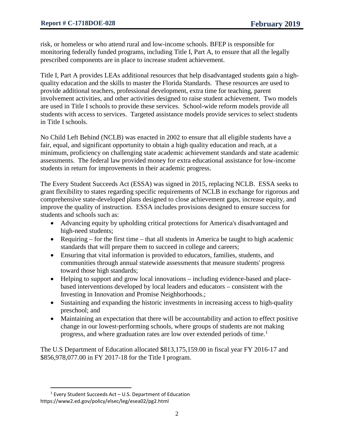risk, or homeless or who attend rural and low-income schools. BFEP is responsible for monitoring federally funded programs, including Title I, Part A, to ensure that all the legally prescribed components are in place to increase student achievement.

Title I, Part A provides LEAs additional resources that help disadvantaged students gain a highquality education and the skills to master the Florida Standards. These resources are used to provide additional teachers, professional development, extra time for teaching, parent involvement activities, and other activities designed to raise student achievement. Two models are used in Title I schools to provide these services. School-wide reform models provide all students with access to services. Targeted assistance models provide services to select students in Title I schools.

No Child Left Behind (NCLB) was enacted in 2002 to ensure that all eligible students have a fair, equal, and significant opportunity to obtain a high quality education and reach, at a minimum, proficiency on challenging state academic achievement standards and state academic assessments. The federal law provided money for extra educational assistance for low-income students in return for improvements in their academic progress.

The Every Student Succeeds Act (ESSA) was signed in 2015, replacing NCLB. ESSA seeks to grant flexibility to states regarding specific requirements of NCLB in exchange for rigorous and comprehensive state-developed plans designed to close achievement gaps, increase equity, and improve the quality of instruction. ESSA includes provisions designed to ensure success for students and schools such as:

- Advancing equity by upholding critical protections for America's disadvantaged and high-need students;
- Requiring for the first time that all students in America be taught to high academic standards that will prepare them to succeed in college and careers;
- Ensuring that vital information is provided to educators, families, students, and communities through annual statewide assessments that measure students' progress toward those high standards;
- Helping to support and grow local innovations including evidence-based and placebased interventions developed by local leaders and educators – consistent with the Investing in Innovation and Promise Neighborhoods.;
- Sustaining and expanding the historic investments in increasing access to high-quality preschool; and
- Maintaining an expectation that there will be accountability and action to effect positive change in our lowest-performing schools, where groups of students are not making progress, and where graduation rates are low over extended periods of time.<sup>[1](#page-1-0)</sup>

The U.S Department of Education allocated \$813,175,159.00 in fiscal year FY 2016-17 and \$856,978,077.00 in FY 2017-18 for the Title I program.

 $\overline{\phantom{a}}$ 

<span id="page-1-0"></span> $1$  Every Student Succeeds Act – U.S. Department of Education https://www2.ed.gov/policy/elsec/leg/esea02/pg2.html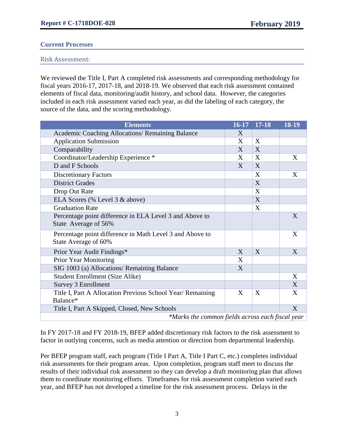#### **Current Processes**

Risk Assessment:

We reviewed the Title I, Part A completed risk assessments and corresponding methodology for fiscal years 2016-17, 2017-18, and 2018-19. We observed that each risk assessment contained elements of fiscal data, monitoring/audit history, and school data. However, the categories included in each risk assessment varied each year, as did the labeling of each category, the source of the data, and the scoring methodology.

| <b>Elements</b>                                                                  | $16-17$ | $17 - 18$ | 18-19        |  |
|----------------------------------------------------------------------------------|---------|-----------|--------------|--|
| Academic Coaching Allocations/Remaining Balance                                  | X       |           |              |  |
| <b>Application Submission</b>                                                    | X       | X         |              |  |
| Comparability                                                                    | X       | X         |              |  |
| Coordinator/Leadership Experience *                                              | X       | X         | X            |  |
| D and F Schools                                                                  | X       | X         |              |  |
| <b>Discretionary Factors</b>                                                     |         | X         | X            |  |
| <b>District Grades</b>                                                           |         | X         |              |  |
| Drop Out Rate                                                                    |         | X         |              |  |
| ELA Scores (% Level 3 & above)                                                   |         | X         |              |  |
| <b>Graduation Rate</b>                                                           |         | X         |              |  |
| Percentage point difference in ELA Level 3 and Above to<br>State Average of 56%  |         |           | X            |  |
| Percentage point difference in Math Level 3 and Above to<br>State Average of 60% |         |           | X            |  |
| Prior Year Audit Findings*                                                       | X       | X         | X            |  |
| Prior Year Monitoring                                                            | X       |           |              |  |
| SIG 1003 (a) Allocations/ Remaining Balance                                      | X       |           |              |  |
| <b>Student Enrollment (Size Alike)</b>                                           |         |           | X            |  |
| Survey 3 Enrollment                                                              |         |           | X            |  |
| Title I, Part A Allocation Previous School Year/ Remaining<br>Balance*           | X       | X         | X            |  |
| Title I, Part A Skipped, Closed, New Schools                                     |         |           | $\mathbf{X}$ |  |
| *Marks the common fields across each fiscal year                                 |         |           |              |  |

In FY 2017-18 and FY 2018-19, BFEP added discretionary risk factors to the risk assessment to factor in outlying concerns, such as media attention or direction from departmental leadership.

Per BFEP program staff, each program (Title I Part A, Title I Part C, etc.) completes individual risk assessments for their program areas. Upon completion, program staff meet to discuss the results of their individual risk assessment so they can develop a draft monitoring plan that allows them to coordinate monitoring efforts. Timeframes for risk assessment completion varied each year, and BFEP has not developed a timeline for the risk assessment process. Delays in the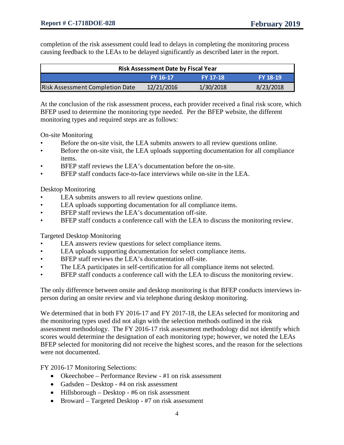completion of the risk assessment could lead to delays in completing the monitoring process causing feedback to the LEAs to be delayed significantly as described later in the report.

| <b>Risk Assessment Date by Fiscal Year</b> |            |                 |           |  |
|--------------------------------------------|------------|-----------------|-----------|--|
|                                            | FY 16-17   | <b>FY 17-18</b> | FY 18-19  |  |
| <b>Risk Assessment Completion Date</b>     | 12/21/2016 | 1/30/2018       | 8/23/2018 |  |

At the conclusion of the risk assessment process, each provider received a final risk score, which BFEP used to determine the monitoring type needed. Per the BFEP website, the different monitoring types and required steps are as follows:

On-site Monitoring

- Before the on-site visit, the LEA submits answers to all review questions online.
- Before the on-site visit, the LEA uploads supporting documentation for all compliance items.
- BFEP staff reviews the LEA's documentation before the on-site.
- BFEP staff conducts face-to-face interviews while on-site in the LEA.

Desktop Monitoring

- LEA submits answers to all review questions online.
- LEA uploads supporting documentation for all compliance items.
- BFEP staff reviews the LEA's documentation off-site.
- BFEP staff conducts a conference call with the LEA to discuss the monitoring review.

Targeted Desktop Monitoring

- LEA answers review questions for select compliance items.
- LEA uploads supporting documentation for select compliance items.
- BFEP staff reviews the LEA's documentation off-site.
- The LEA participates in self-certification for all compliance items not selected.
- BFEP staff conducts a conference call with the LEA to discuss the monitoring review.

The only difference between onsite and desktop monitoring is that BFEP conducts interviews inperson during an onsite review and via telephone during desktop monitoring.

We determined that in both FY 2016-17 and FY 2017-18, the LEAs selected for monitoring and the monitoring types used did not align with the selection methods outlined in the risk assessment methodology. The FY 2016-17 risk assessment methodology did not identify which scores would determine the designation of each monitoring type; however, we noted the LEAs BFEP selected for monitoring did not receive the highest scores, and the reason for the selections were not documented.

FY 2016-17 Monitoring Selections:

- Okeechobee Performance Review #1 on risk assessment
- Gadsden Desktop #4 on risk assessment
- Hillsborough Desktop #6 on risk assessment
- Broward Targeted Desktop #7 on risk assessment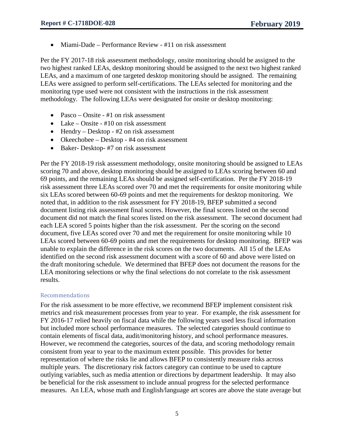• Miami-Dade – Performance Review - #11 on risk assessment

Per the FY 2017-18 risk assessment methodology, onsite monitoring should be assigned to the two highest ranked LEAs, desktop monitoring should be assigned to the next two highest ranked LEAs, and a maximum of one targeted desktop monitoring should be assigned. The remaining LEAs were assigned to perform self-certifications. The LEAs selected for monitoring and the monitoring type used were not consistent with the instructions in the risk assessment methodology. The following LEAs were designated for onsite or desktop monitoring:

- Pasco Onsite #1 on risk assessment
- Lake Onsite #10 on risk assessment
- Hendry Desktop #2 on risk assessment
- Okeechobee Desktop #4 on risk assessment
- Baker- Desktop- #7 on risk assessment

Per the FY 2018-19 risk assessment methodology, onsite monitoring should be assigned to LEAs scoring 70 and above, desktop monitoring should be assigned to LEAs scoring between 60 and 69 points, and the remaining LEAs should be assigned self-certification. Per the FY 2018-19 risk assessment three LEAs scored over 70 and met the requirements for onsite monitoring while six LEAs scored between 60-69 points and met the requirements for desktop monitoring. We noted that, in addition to the risk assessment for FY 2018-19, BFEP submitted a second document listing risk assessment final scores. However, the final scores listed on the second document did not match the final scores listed on the risk assessment. The second document had each LEA scored 5 points higher than the risk assessment. Per the scoring on the second document, five LEAs scored over 70 and met the requirement for onsite monitoring while 10 LEAs scored between 60-69 points and met the requirements for desktop monitoring. BFEP was unable to explain the difference in the risk scores on the two documents. All 15 of the LEAs identified on the second risk assessment document with a score of 60 and above were listed on the draft monitoring schedule. We determined that BFEP does not document the reasons for the LEA monitoring selections or why the final selections do not correlate to the risk assessment results.

# Recommendations

For the risk assessment to be more effective, we recommend BFEP implement consistent risk metrics and risk measurement processes from year to year. For example, the risk assessment for FY 2016-17 relied heavily on fiscal data while the following years used less fiscal information but included more school performance measures. The selected categories should continue to contain elements of fiscal data, audit/monitoring history, and school performance measures. However, we recommend the categories, sources of the data, and scoring methodology remain consistent from year to year to the maximum extent possible. This provides for better representation of where the risks lie and allows BFEP to consistently measure risks across multiple years. The discretionary risk factors category can continue to be used to capture outlying variables, such as media attention or directions by department leadership. It may also be beneficial for the risk assessment to include annual progress for the selected performance measures. An LEA, whose math and English/language art scores are above the state average but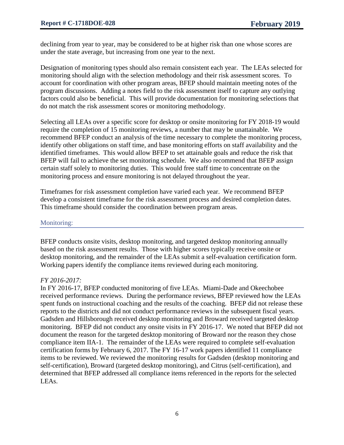declining from year to year, may be considered to be at higher risk than one whose scores are under the state average, but increasing from one year to the next.

Designation of monitoring types should also remain consistent each year. The LEAs selected for monitoring should align with the selection methodology and their risk assessment scores. To account for coordination with other program areas, BFEP should maintain meeting notes of the program discussions. Adding a notes field to the risk assessment itself to capture any outlying factors could also be beneficial. This will provide documentation for monitoring selections that do not match the risk assessment scores or monitoring methodology.

Selecting all LEAs over a specific score for desktop or onsite monitoring for FY 2018-19 would require the completion of 15 monitoring reviews, a number that may be unattainable. We recommend BFEP conduct an analysis of the time necessary to complete the monitoring process, identify other obligations on staff time, and base monitoring efforts on staff availability and the identified timeframes. This would allow BFEP to set attainable goals and reduce the risk that BFEP will fail to achieve the set monitoring schedule. We also recommend that BFEP assign certain staff solely to monitoring duties. This would free staff time to concentrate on the monitoring process and ensure monitoring is not delayed throughout the year.

Timeframes for risk assessment completion have varied each year. We recommend BFEP develop a consistent timeframe for the risk assessment process and desired completion dates. This timeframe should consider the coordination between program areas.

## Monitoring:

BFEP conducts onsite visits, desktop monitoring, and targeted desktop monitoring annually based on the risk assessment results. Those with higher scores typically receive onsite or desktop monitoring, and the remainder of the LEAs submit a self-evaluation certification form. Working papers identify the compliance items reviewed during each monitoring.

# *FY 2016-2017:*

In FY 2016-17, BFEP conducted monitoring of five LEAs. Miami-Dade and Okeechobee received performance reviews. During the performance reviews, BFEP reviewed how the LEAs spent funds on instructional coaching and the results of the coaching. BFEP did not release these reports to the districts and did not conduct performance reviews in the subsequent fiscal years. Gadsden and Hillsborough received desktop monitoring and Broward received targeted desktop monitoring. BFEP did not conduct any onsite visits in FY 2016-17. We noted that BFEP did not document the reason for the targeted desktop monitoring of Broward nor the reason they chose compliance item IIA-1. The remainder of the LEAs were required to complete self-evaluation certification forms by February 6, 2017. The FY 16-17 work papers identified 11 compliance items to be reviewed. We reviewed the monitoring results for Gadsden (desktop monitoring and self-certification), Broward (targeted desktop monitoring), and Citrus (self-certification), and determined that BFEP addressed all compliance items referenced in the reports for the selected LEAs.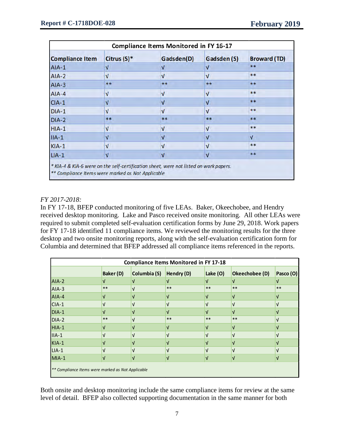| <b>Compliance Item</b> | Citrus (S)* | Gadsden(D) | Gadsden (S)  | <b>Broward (TD)</b> |
|------------------------|-------------|------------|--------------|---------------------|
| $AIA-1$                | $\sqrt{ }$  | $\sqrt{ }$ | $\sqrt{ }$   | **                  |
| $AIA-2$                | $\sqrt{ }$  | ν          | $\sqrt{ }$   | **                  |
| $AIA-3$                | **          | $***$      | $***$        | **                  |
| $AIA-4$                | $\sqrt{ }$  | $\sqrt{ }$ | $\sqrt{ }$   | **                  |
| $CIA-1$                | v           | ν          | $\sqrt{ }$   | $**$                |
| $DIA-1$                | $\sqrt{ }$  | V          | $\mathbf{v}$ | **                  |
| $DIA-2$                | **          | $**$       | $**$         | $**$                |
| $HIA-1$                | $\sqrt{ }$  | $\sqrt{ }$ | $\sqrt{ }$   | **                  |
| $IIA-1$                | $\sqrt{ }$  | $\sqrt{ }$ | $\sqrt{ }$   | $\sqrt{ }$          |
| $KIA-1$                | $\sqrt{ }$  | $\sqrt{ }$ | $\sqrt{ }$   | $**$                |
| $LIA-1$                | v           | ν          | V            | **                  |

# *FY 2017-2018:*

In FY 17-18, BFEP conducted monitoring of five LEAs. Baker, Okeechobee, and Hendry received desktop monitoring. Lake and Pasco received onsite monitoring. All other LEAs were required to submit completed self-evaluation certification forms by June 29, 2018. Work papers for FY 17-18 identified 11 compliance items. We reviewed the monitoring results for the three desktop and two onsite monitoring reports, along with the self-evaluation certification form for Columbia and determined that BFEP addressed all compliance items referenced in the reports.

| <b>Compliance Items Monitored in FY 17-18</b>     |                  |              |            |            |                |           |
|---------------------------------------------------|------------------|--------------|------------|------------|----------------|-----------|
|                                                   | <b>Baker</b> (D) | Columbia (S) | Hendry (D) | Lake $(0)$ | Okeechobee (D) | Pasco (O) |
| $AIA-2$                                           |                  |              |            |            |                | ٦I        |
| $AIA-3$                                           | $**$             |              | $***$      | $**$       | $**$           | $**$      |
| $AIA-4$                                           | V                |              |            |            |                |           |
| $CIA-1$                                           | V                |              |            |            |                |           |
| $DIA-1$                                           |                  |              |            |            |                |           |
| $DIA-2$                                           | $**$             |              | $***$      | $***$      | $**$           |           |
| $HIA-1$                                           | ν                |              |            |            |                |           |
| $IIA-1$                                           | v                |              |            |            |                |           |
| $KIA-1$                                           |                  |              |            |            |                |           |
| $LIA-1$                                           | νI               |              | νI         |            |                |           |
| $MIA-1$                                           | v                |              | ν          |            |                | ν         |
| ** Compliance Items were marked as Not Applicable |                  |              |            |            |                |           |

Both onsite and desktop monitoring include the same compliance items for review at the same level of detail. BFEP also collected supporting documentation in the same manner for both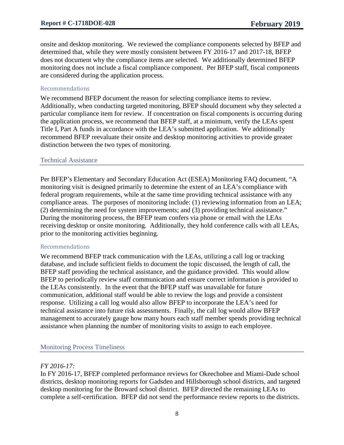onsite and desktop monitoring. We reviewed the compliance components selected by BFEP and determined that, while they were mostly consistent between FY 2016-17 and 2017-18, BFEP does not document why the compliance items are selected. We additionally determined BFEP monitoring does not include a fiscal compliance component. Per BFEP staff, fiscal components are considered during the application process.

#### Recommendations

We recommend BFEP document the reason for selecting compliance items to review. Additionally, when conducting targeted monitoring, BFEP should document why they selected a particular compliance item for review. If concentration on fiscal components is occurring during the application process, we recommend that BFEP staff, at a minimum, verify the LEAs spent Title I, Part A funds in accordance with the LEA's submitted application. We additionally recommend BFEP reevaluate their onsite and desktop monitoring activities to provide greater distinction between the two types of monitoring.

#### Technical Assistance

Per BFEP's Elementary and Secondary Education Act (ESEA) Monitoring FAQ document, "A monitoring visit is designed primarily to determine the extent of an LEA's compliance with federal program requirements, while at the same time providing technical assistance with any compliance areas. The purposes of monitoring include: (1) reviewing information from an LEA; (2) determining the need for system improvements; and (3) providing technical assistance." During the monitoring process, the BFEP team confers via phone or email with the LEAs receiving desktop or onsite monitoring. Additionally, they hold conference calls with all LEAs, prior to the monitoring activities beginning.

#### Recommendations

We recommend BFEP track communication with the LEAs, utilizing a call log or tracking database, and include sufficient fields to document the topic discussed, the length of call, the BFEP staff providing the technical assistance, and the guidance provided. This would allow BFEP to periodically review staff communication and ensure correct information is provided to the LEAs consistently. In the event that the BFEP staff was unavailable for future communication, additional staff would be able to review the logs and provide a consistent response. Utilizing a call log would also allow BFEP to incorporate the LEA's need for technical assistance into future risk assessments. Finally, the call log would allow BFEP management to accurately gauge how many hours each staff member spends providing technical assistance when planning the number of monitoring visits to assign to each employee.

#### Monitoring Process Timeliness

# *FY 2016-17:*

In FY 2016-17, BFEP completed performance reviews for Okeechobee and Miami-Dade school districts, desktop monitoring reports for Gadsden and Hillsborough school districts, and targeted desktop monitoring for the Broward school district. BFEP directed the remaining LEAs to complete a self-certification. BFEP did not send the performance review reports to the districts.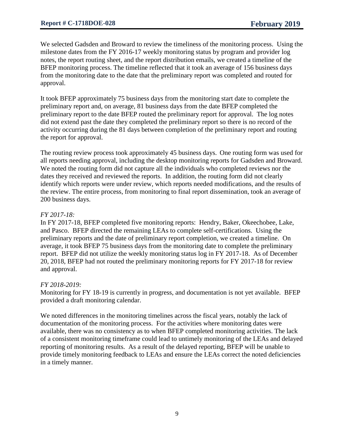We selected Gadsden and Broward to review the timeliness of the monitoring process. Using the milestone dates from the FY 2016-17 weekly monitoring status by program and provider log notes, the report routing sheet, and the report distribution emails, we created a timeline of the BFEP monitoring process. The timeline reflected that it took an average of 156 business days from the monitoring date to the date that the preliminary report was completed and routed for approval.

It took BFEP approximately 75 business days from the monitoring start date to complete the preliminary report and, on average, 81 business days from the date BFEP completed the preliminary report to the date BFEP routed the preliminary report for approval. The log notes did not extend past the date they completed the preliminary report so there is no record of the activity occurring during the 81 days between completion of the preliminary report and routing the report for approval.

The routing review process took approximately 45 business days. One routing form was used for all reports needing approval, including the desktop monitoring reports for Gadsden and Broward. We noted the routing form did not capture all the individuals who completed reviews nor the dates they received and reviewed the reports. In addition, the routing form did not clearly identify which reports were under review, which reports needed modifications, and the results of the review. The entire process, from monitoring to final report dissemination, took an average of 200 business days.

## *FY 2017-18:*

In FY 2017-18, BFEP completed five monitoring reports: Hendry, Baker, Okeechobee, Lake, and Pasco. BFEP directed the remaining LEAs to complete self-certifications. Using the preliminary reports and the date of preliminary report completion, we created a timeline. On average, it took BFEP 75 business days from the monitoring date to complete the preliminary report. BFEP did not utilize the weekly monitoring status log in FY 2017-18. As of December 20, 2018, BFEP had not routed the preliminary monitoring reports for FY 2017-18 for review and approval.

#### *FY 2018-2019:*

Monitoring for FY 18-19 is currently in progress, and documentation is not yet available. BFEP provided a draft monitoring calendar.

We noted differences in the monitoring timelines across the fiscal years, notably the lack of documentation of the monitoring process. For the activities where monitoring dates were available, there was no consistency as to when BFEP completed monitoring activities. The lack of a consistent monitoring timeframe could lead to untimely monitoring of the LEAs and delayed reporting of monitoring results. As a result of the delayed reporting, BFEP will be unable to provide timely monitoring feedback to LEAs and ensure the LEAs correct the noted deficiencies in a timely manner.